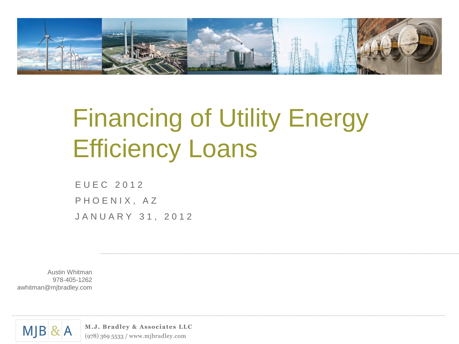

# Financing of Utility Energy Efficiency Loans

E U E C 2 0 1 2 PHOENIX, AZ J A N U A R Y 31, 2012

Austin Whitman 978-405-1262 awhitman@mjbradley.com



**M.J. Bradley & Associates LLC** (978) 369 5533 / www.mjbradley.com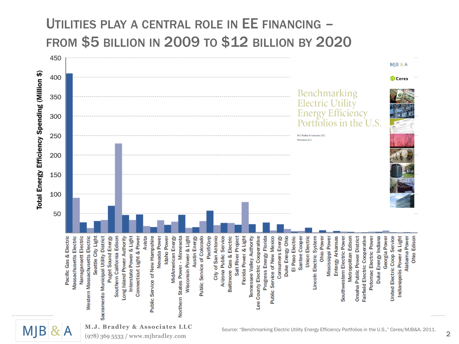### UTILITIES PLAY A CENTRAL ROLE IN EE FINANCING – FROM \$5 BILLION IN 2009 TO \$12 BILLION BY 2020



**MJB** 

**M.J. Bradley & Associates LLC** (978) 369 5533 / www.mjbradley.com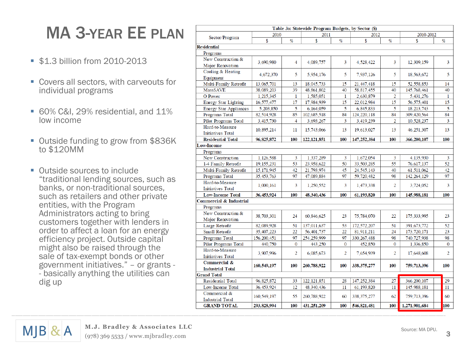# MA 3 -YEAR EE PLAN

- **\$1.3 billion from 2010-2013**
- Covers all sectors, with carveouts for individual programs
- 60% C&I, 29% residential, and 11% low income
- Outside funding to grow from \$836K to \$120MM
- Outside sources to include "traditional lending sources, such as banks, or non -traditional sources, such as retailers and other private entities, with the Program Administrators acting to bring customers together with lenders in order to affect a loan for an energy efficiency project. Outside capital might also be raised through the sale of tax -exempt bonds or other government initiatives." – or grants - - basically anything the utilities can dig up

|                                         |              |                | Table 3a: Statewide Program Budgets, by Sector (\$) |                |               |                |                    |                |
|-----------------------------------------|--------------|----------------|-----------------------------------------------------|----------------|---------------|----------------|--------------------|----------------|
| Sector/Program                          | 2010         |                | 2011                                                |                | 2012          |                | 2010-2012          |                |
|                                         | \$           | %              | \$                                                  | %              | \$            | %              | \$                 | %              |
| <b>Residential</b>                      |              |                |                                                     |                |               |                |                    |                |
| Programs                                |              |                |                                                     |                |               |                |                    |                |
| New Construction &                      | 3.690.980    | 4              | 4,089,757                                           | 3              | 4,528,422     | 3              | 12.309.159         | 3              |
| <b>Major Renovation</b>                 |              |                |                                                     |                |               |                |                    |                |
| Cooling & Heating                       | 4,672,370    | 5              | 5,954,176                                           | 5.             | 7,937,126     | 5.             | 18,563,672         | 5              |
| Equipment                               |              |                |                                                     |                |               |                |                    |                |
| Multi-Family Retrofit                   | 13,065,701   | 13             | 18,045,733                                          | 15             | 21,447,418    | 15             | 52,558,853         | 14             |
| <b>MassSAVE</b>                         | 38,089,203   | 39             | 48,861,802                                          | 40             | 58,817,455    | 40             | 145,768,461        | 40             |
| O Power                                 | 1,215,345    | $\mathbf{1}$   | 1,585,051                                           | $\mathbf{1}$   | 2,630,879     | $\overline{2}$ | 5,431,276          | $\mathbf{1}$   |
| <b>Energy Star Lighting</b>             | 16,577,477   | 17             | 17,984,939                                          | 15             | 22,012,984    | 15             | 56,575,401         | 15             |
| <b>Energy Star Appliances</b>           | 5,203,850    | 5              | 6,164,059                                           | 5              | 6,845,833     | 5              | 18,213,743<br>5    |                |
| Programs Total                          | 82,514,928   | 85             | 102,685,518                                         | 84             | 124,220,118   | 84             | 84<br>309,420,564  |                |
| Pilot Programs Total                    | 3,415,730    | 4              | 3,693,267                                           | 3              | 3,419,239     | $\overline{2}$ | 10,528,237         | 3              |
| Hard-to-Measure                         | 10,895,214   | 11             | 15,743,066                                          | 13             | 19,613,027    | 13             | 46,251,307         | 13             |
| <b>Initiatives Total</b>                |              |                |                                                     |                |               |                |                    |                |
| <b>Residential Total</b>                | 96,825,872   | 100            | 122, 121, 851                                       | 100            | 147,252,384   | 100            | 366,200,107        | 100            |
| <b>Low-Income</b>                       |              |                |                                                     |                |               |                |                    |                |
| Programs                                |              |                |                                                     |                |               |                |                    |                |
| New Construction                        | 1,126,588    | 3              | 1,337,289                                           | 3              | 1,672,054     | 3              | 4,135,930          | 3              |
| 1-4 Family Retrofit                     | 19, 155, 231 | 53             | 23,958,622                                          | 50             | 33,503,285    | 55             | 76,617,137         | 52             |
| Multi-Family Retrofit                   | 15, 171, 945 | 42             | 21,793,974                                          | 45             | 24, 545, 143  | 40             | 61,511,062         | 42             |
| Programs Total                          | 35, 453, 763 | 97             | 47,089,884                                          | 97             | 59,720,482    | 98             | 142, 264, 129      | 97             |
| Hard-to-Measure                         | 1,000,161    | 3              | 1,250,552                                           | 3              | 1,473,338     | $\overline{2}$ | 3,724,052          | 3              |
| <b>Initiatives Total</b>                |              |                |                                                     |                |               |                |                    |                |
| <b>Low-Income Total</b>                 | 36,453,924   | 100            | 48,340,436                                          | 100            | 61,193,820    | 100            | 100<br>145,988,181 |                |
| <b>Commercial &amp; Industrial</b>      |              |                |                                                     |                |               |                |                    |                |
| Programs                                |              |                |                                                     |                |               |                |                    |                |
| New Construction &                      | 38,703,301   | 24             | 60,846,625                                          | 23             | 75,784,070    | 22             | 175, 333, 995      | 23             |
| <b>Major Renovation</b>                 |              |                |                                                     |                |               |                |                    |                |
| Large Retrofit                          | 82,089,928   | 51             | 137,011,637                                         | 53             | 172,572,207   | 51             | 391, 673, 772      | 52             |
| <b>Small Retrofit</b>                   | 35,407,223   | 22             | 56,401,737                                          | 22             | 81,911,211    | 24             | 173,720,171        | 23             |
| Programs Total                          | 156,200,451  | 97             | 254,259,999                                         | 97             | 330, 267, 488 | 98             | 740,727,938        | 98             |
| Pilot Programs Total                    | 440,750      | $\bf{0}$       | 443,250                                             | $\bf{0}$       | 452,850       | $\bf{0}$       | 1,336,850          | 0              |
| Hard-to-Measure                         | 3,907,996    | $\overline{2}$ | 6,085,673                                           | $\overline{2}$ | 7.654.939     | $\overline{2}$ | 17,648,608         | $\overline{2}$ |
| <b>Initiatives Total</b>                |              |                |                                                     |                |               |                |                    |                |
| Commercial &                            | 160,549,197  | 100            | 260,788,922                                         | 100            | 338, 375, 277 | 100            | 759,713,396        | 100            |
| <b>Industrial Total</b>                 |              |                |                                                     |                |               |                |                    |                |
| <b>Grand Total</b>                      |              |                |                                                     |                |               |                |                    |                |
| <b>Residential Total</b>                | 96, 825, 872 | 33             | 122, 121, 851                                       | 28             | 147, 252, 384 | 27             | 366,200,107        | 29             |
| Low-Income Total                        | 36, 453, 924 | 12             | 48,340,436                                          | 11             | 61, 193, 820  | 11             | 145,988,181        | 11             |
| Commercial &<br><b>Industrial Total</b> | 160,549,197  | 55             | 260,788,922                                         | 60             | 338, 375, 277 | 62             | 759,713,396        | 60             |
| <b>GRAND TOTAL</b>                      | 293,828,994  | 100            | 431,251,209                                         | 100            | 546,821,481   | 100            | 1,271,901,684      | 100            |
|                                         |              |                |                                                     |                |               |                |                    |                |



3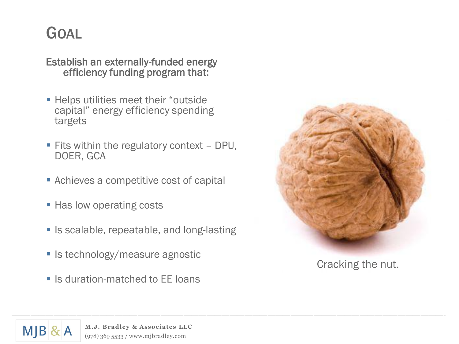## GOAL

Establish an externally-funded energy efficiency funding program that:

- **Helps utilities meet their "outside"** capital" energy efficiency spending targets
- $\blacksquare$  Fits within the regulatory context DPU, DOER, GCA
- Achieves a competitive cost of capital
- Has low operating costs
- **I** Is scalable, repeatable, and long-lasting
- Is technology/measure agnostic
- **E** Is duration-matched to FF loans



Cracking the nut.

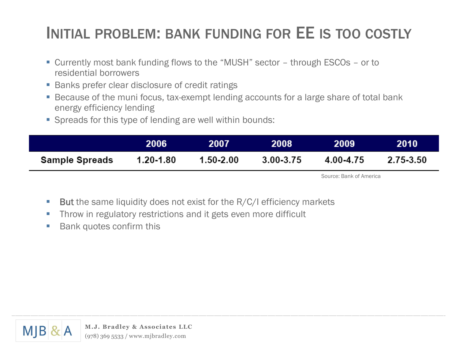# INITIAL PROBLEM: BANK FUNDING FOR EE IS TOO COSTLY

- Currently most bank funding flows to the "MUSH" sector through ESCOs or to residential borrowers
- Banks prefer clear disclosure of credit ratings
- Because of the muni focus, tax-exempt lending accounts for a large share of total bank energy efficiency lending
- Spreads for this type of lending are well within bounds:

|                       | 2006      | 2007          | 2008      | 2009      | <b>2010</b> |
|-----------------------|-----------|---------------|-----------|-----------|-------------|
| <b>Sample Spreads</b> | 1.20-1.80 | $1.50 - 2.00$ | 3.00-3.75 | 4.00-4.75 | 2.75-3.50   |

Source: Bank of America

- **But** the same liquidity does not exist for the R/C/I efficiency markets
- **Throw in regulatory restrictions and it gets even more difficult**
- **Bank quotes confirm this**

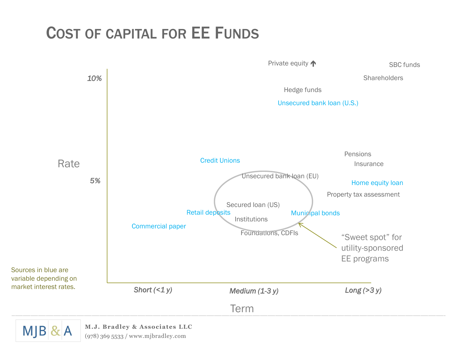### COST OF CAPITAL FOR EE FUNDS



(978) 369 5533 / www.mjbradley.com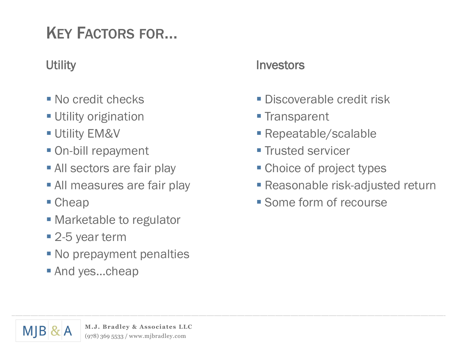# KEY FACTORS FOR…

### **Utility**

- No credit checks
- Utility origination
- **Utility EM&V**
- On-bill repayment
- **All sectors are fair play**
- **All measures are fair play**
- Cheap
- **Marketable to regulator**
- 2-5 year term
- No prepayment penalties
- And yes...cheap

#### Investors

- **Discoverable credit risk**
- **Transparent**
- Repeatable/scalable
- **Trusted servicer**
- **Choice of project types**
- Reasonable risk-adjusted return
- **Some form of recourse**

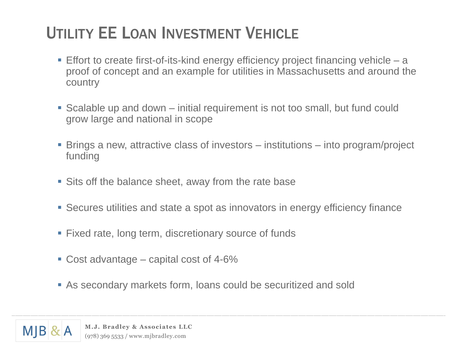# UTILITY EE LOAN INVESTMENT VEHICLE

- Effort to create first-of-its-kind energy efficiency project financing vehicle a proof of concept and an example for utilities in Massachusetts and around the country
- Scalable up and down initial requirement is not too small, but fund could grow large and national in scope
- Brings a new, attractive class of investors institutions into program/project funding
- Sits off the balance sheet, away from the rate base
- Secures utilities and state a spot as innovators in energy efficiency finance
- **Fixed rate, long term, discretionary source of funds**
- Cost advantage capital cost of 4-6%
- As secondary markets form, loans could be securitized and sold

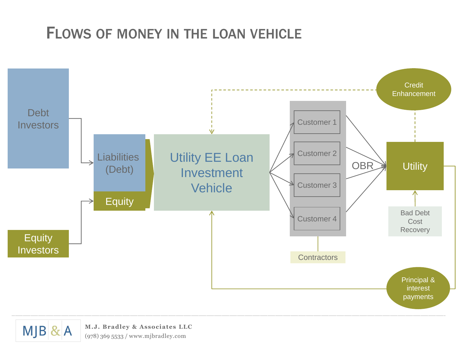### FLOWS OF MONEY IN THE LOAN VEHICLE





**M.J. Bradley & Associates LLC** (978) 369 5533 / www.mjbradley.com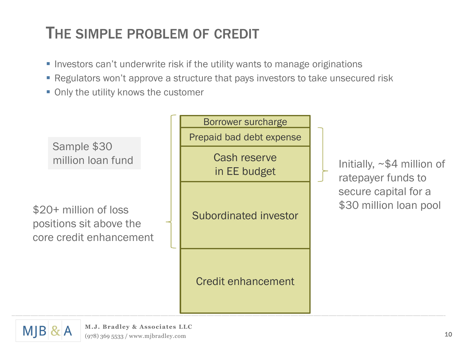## THE SIMPLE PROBLEM OF CREDIT

- Investors can't underwrite risk if the utility wants to manage originations
- Regulators won't approve a structure that pays investors to take unsecured risk
- Only the utility knows the customer



ratepayer funds to secure capital for a \$30 million loan pool

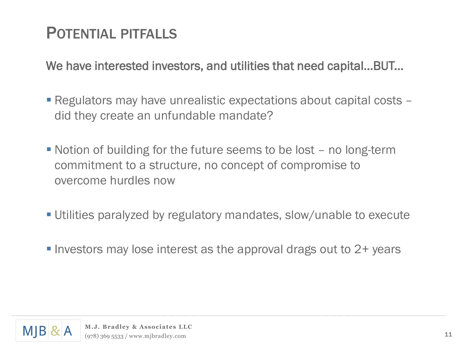# POTENTIAL PITFALLS

We have interested investors, and utilities that need capital…BUT...

- Regulators may have unrealistic expectations about capital costs did they create an unfundable mandate?
- Notion of building for the future seems to be lost no long-term commitment to a structure, no concept of compromise to overcome hurdles now
- Utilities paralyzed by regulatory mandates, slow/unable to execute
- Investors may lose interest as the approval drags out to  $2+$  years

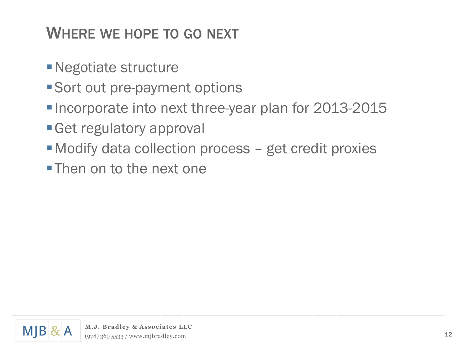# WHERE WE HOPE TO GO NEXT

- Negotiate structure
- Sort out pre-payment options
- Incorporate into next three-year plan for 2013-2015
- Get regulatory approval
- Modify data collection process get credit proxies
- **Then on to the next one**